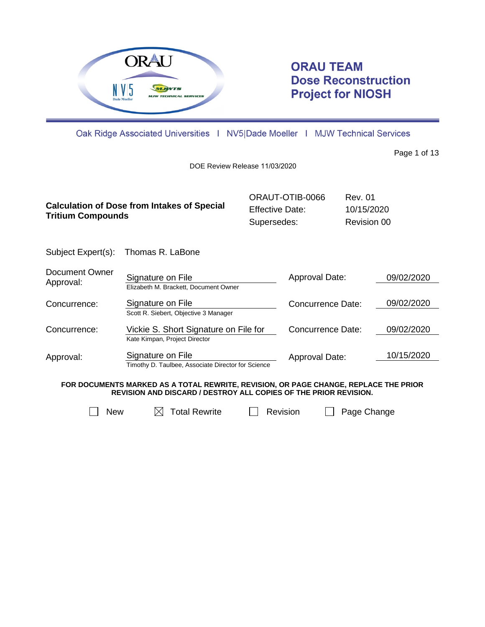

# **ORAU TEAM Dose Reconstruction Project for NIOSH**

Oak Ridge Associated Universities | NV5|Dade Moeller | MJW Technical Services

Page 1 of 13

DOE Review Release 11/03/2020

| <b>Calculation of Dose from Intakes of Special</b><br><b>Tritium Compounds</b> | ORAUT-OTIB-0066        | Rev. 01     |
|--------------------------------------------------------------------------------|------------------------|-------------|
|                                                                                | <b>Effective Date:</b> | 10/15/2020  |
|                                                                                | Supersedes:            | Revision 00 |

Subject Expert(s): Thomas R. LaBone

| Document Owner<br>Approval: | Signature on File<br>Elizabeth M. Brackett, Document Owner              | Approval Date:           | 09/02/2020 |
|-----------------------------|-------------------------------------------------------------------------|--------------------------|------------|
| Concurrence:                | Signature on File<br>Scott R. Siebert, Objective 3 Manager              | <b>Concurrence Date:</b> | 09/02/2020 |
| Concurrence:                | Vickie S. Short Signature on File for<br>Kate Kimpan, Project Director  | <b>Concurrence Date:</b> | 09/02/2020 |
| Approval:                   | Signature on File<br>Timothy D. Taulbee, Associate Director for Science | Approval Date:           | 10/15/2020 |

**FOR DOCUMENTS MARKED AS A TOTAL REWRITE, REVISION, OR PAGE CHANGE, REPLACE THE PRIOR REVISION AND DISCARD / DESTROY ALL COPIES OF THE PRIOR REVISION.**

| New | $\boxtimes$ Total Rewrite | $\Box$ Revision | Page Change |
|-----|---------------------------|-----------------|-------------|
|     |                           |                 |             |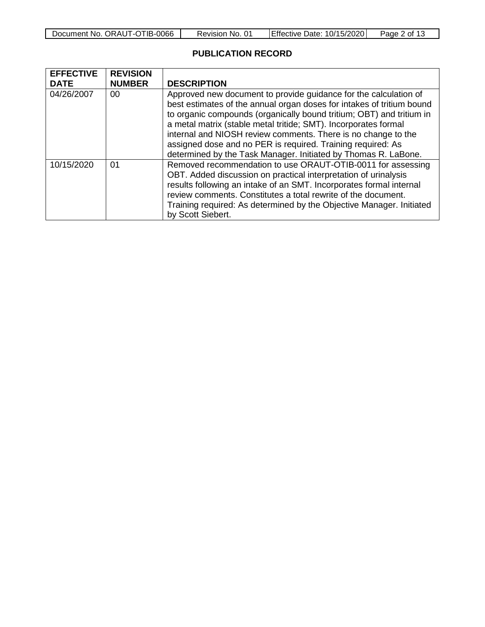| Document No. ORAUT-OTIB-0066 | Revision No. 01 | Effective Date: 10/15/2020 | Page 2 of 13 |
|------------------------------|-----------------|----------------------------|--------------|
|------------------------------|-----------------|----------------------------|--------------|

# **PUBLICATION RECORD**

| <b>EFFECTIVE</b><br><b>DATE</b> | <b>REVISION</b><br><b>NUMBER</b> | <b>DESCRIPTION</b>                                                                                                                                                                                                                                                                                                                                                                                                                                                                     |
|---------------------------------|----------------------------------|----------------------------------------------------------------------------------------------------------------------------------------------------------------------------------------------------------------------------------------------------------------------------------------------------------------------------------------------------------------------------------------------------------------------------------------------------------------------------------------|
| 04/26/2007                      | 00                               | Approved new document to provide guidance for the calculation of<br>best estimates of the annual organ doses for intakes of tritium bound<br>to organic compounds (organically bound tritium; OBT) and tritium in<br>a metal matrix (stable metal tritide; SMT). Incorporates formal<br>internal and NIOSH review comments. There is no change to the<br>assigned dose and no PER is required. Training required: As<br>determined by the Task Manager. Initiated by Thomas R. LaBone. |
| 10/15/2020                      | 01                               | Removed recommendation to use ORAUT-OTIB-0011 for assessing<br>OBT. Added discussion on practical interpretation of urinalysis<br>results following an intake of an SMT. Incorporates formal internal<br>review comments. Constitutes a total rewrite of the document.<br>Training required: As determined by the Objective Manager. Initiated<br>by Scott Siebert.                                                                                                                    |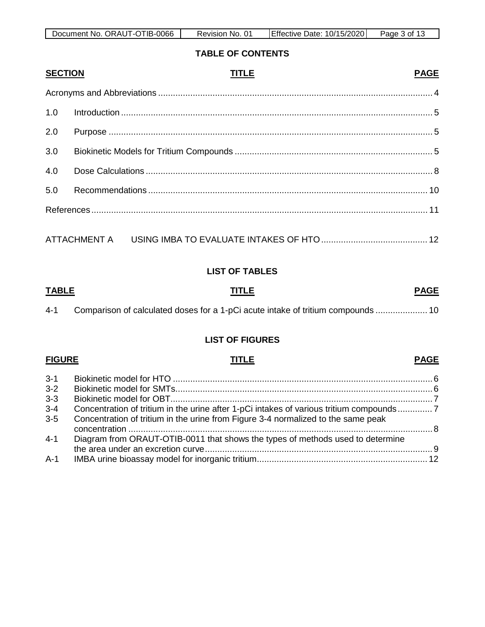| Document No. ORAUT-OTIB-0066 | Revision No. 01 | Effective Date: 10/15/2020 | Page 3 of 13 |
|------------------------------|-----------------|----------------------------|--------------|

## **TABLE OF CONTENTS**

| <b>SECTION</b> | TITLE | <b>PAGE</b> |
|----------------|-------|-------------|
|                |       |             |
| 1.0            |       |             |
| 2.0            |       |             |
| 3.0            |       |             |
| 4.0            |       |             |
| 5.0            |       |             |
|                |       |             |
|                |       |             |

# **LIST OF TABLES**

# **TABLE TITLE PAGE**

| $4 - 1$ |  |  | Comparison of calculated doses for a 1-pCi acute intake of tritium compounds  10 |
|---------|--|--|----------------------------------------------------------------------------------|
|---------|--|--|----------------------------------------------------------------------------------|

# **LIST OF FIGURES**

# **FIGURE TITLE PAGE**

# 3-1 Biokinetic model for HTO [......................................................................................................... 6](#page-5-0) 3-2 [Biokinetic model for SMTs........................................................................................................ 6](#page-5-1) 3-3 [Biokinetic model for OBT.......................................................................................................... 7](#page-6-0) 3-4 [Concentration of tritium in the urine after 1-pCi intakes of various tritium compounds.............. 7](#page-6-1) 3-5 [Concentration of tritium in the urine from Figure 3-4 normalized to the same peak](#page-7-1)  concentration [........................................................................................................................... 8](#page-7-1) 4-1 [Diagram from ORAUT-OTIB-0011 that shows the types of methods used to determine](#page-8-0)

| A-1 |  |
|-----|--|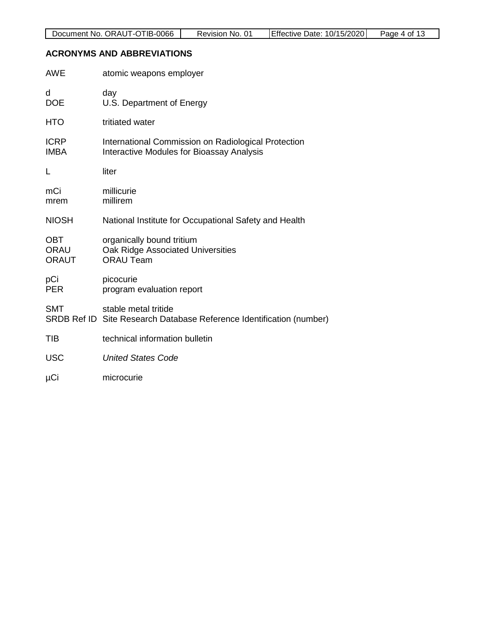# <span id="page-3-0"></span>**ACRONYMS AND ABBREVIATIONS**

| <b>AWE</b>                         | atomic weapons employer                                                                                 |
|------------------------------------|---------------------------------------------------------------------------------------------------------|
| d<br><b>DOE</b>                    | day<br>U.S. Department of Energy                                                                        |
| <b>HTO</b>                         | tritiated water                                                                                         |
| <b>ICRP</b><br><b>IMBA</b>         | International Commission on Radiological Protection<br><b>Interactive Modules for Bioassay Analysis</b> |
| L                                  | liter                                                                                                   |
| mCi<br>mrem                        | millicurie<br>millirem                                                                                  |
| <b>NIOSH</b>                       | National Institute for Occupational Safety and Health                                                   |
| <b>OBT</b><br>ORAU<br><b>ORAUT</b> | organically bound tritium<br>Oak Ridge Associated Universities<br><b>ORAU Team</b>                      |
| pCi<br><b>PER</b>                  | picocurie<br>program evaluation report                                                                  |
| SMT                                | stable metal tritide<br>SRDB Ref ID Site Research Database Reference Identification (number)            |
| TIB                                | technical information bulletin                                                                          |
| <b>USC</b>                         | <b>United States Code</b>                                                                               |
| μCi                                | microcurie                                                                                              |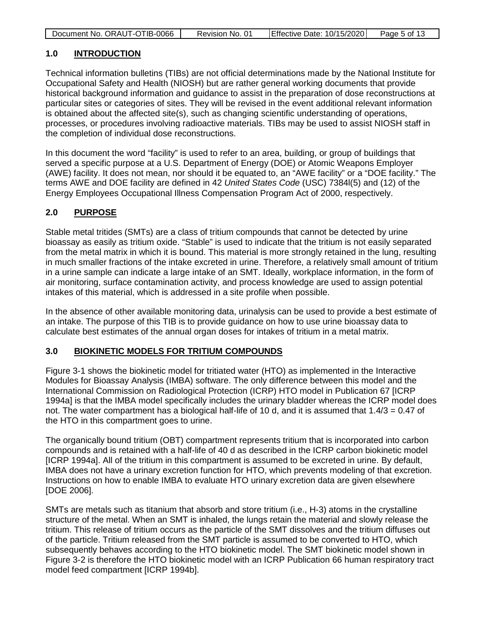| Document No. ORAUT-OTIB-0066 | Revision No. 01 | Effective Date: 10/15/2020 | Page 5 of 13 |
|------------------------------|-----------------|----------------------------|--------------|

## <span id="page-4-0"></span>**1.0 INTRODUCTION**

Technical information bulletins (TIBs) are not official determinations made by the National Institute for Occupational Safety and Health (NIOSH) but are rather general working documents that provide historical background information and guidance to assist in the preparation of dose reconstructions at particular sites or categories of sites. They will be revised in the event additional relevant information is obtained about the affected site(s), such as changing scientific understanding of operations, processes, or procedures involving radioactive materials. TIBs may be used to assist NIOSH staff in the completion of individual dose reconstructions.

In this document the word "facility" is used to refer to an area, building, or group of buildings that served a specific purpose at a U.S. Department of Energy (DOE) or Atomic Weapons Employer (AWE) facility. It does not mean, nor should it be equated to, an "AWE facility" or a "DOE facility." The terms AWE and DOE facility are defined in 42 *United States Code* (USC) 7384l(5) and (12) of the Energy Employees Occupational Illness Compensation Program Act of 2000, respectively.

## <span id="page-4-1"></span>**2.0 PURPOSE**

Stable metal tritides (SMTs) are a class of tritium compounds that cannot be detected by urine bioassay as easily as tritium oxide. "Stable" is used to indicate that the tritium is not easily separated from the metal matrix in which it is bound. This material is more strongly retained in the lung, resulting in much smaller fractions of the intake excreted in urine. Therefore, a relatively small amount of tritium in a urine sample can indicate a large intake of an SMT. Ideally, workplace information, in the form of air monitoring, surface contamination activity, and process knowledge are used to assign potential intakes of this material, which is addressed in a site profile when possible.

In the absence of other available monitoring data, urinalysis can be used to provide a best estimate of an intake. The purpose of this TIB is to provide guidance on how to use urine bioassay data to calculate best estimates of the annual organ doses for intakes of tritium in a metal matrix.

## <span id="page-4-2"></span>**3.0 BIOKINETIC MODELS FOR TRITIUM COMPOUNDS**

Figure 3-1 shows the biokinetic model for tritiated water (HTO) as implemented in the Interactive Modules for Bioassay Analysis (IMBA) software. The only difference between this model and the International Commission on Radiological Protection (ICRP) HTO model in Publication 67 [ICRP 1994a] is that the IMBA model specifically includes the urinary bladder whereas the ICRP model does not. The water compartment has a biological half-life of 10 d, and it is assumed that 1.4/3 = 0.47 of the HTO in this compartment goes to urine.

The organically bound tritium (OBT) compartment represents tritium that is incorporated into carbon compounds and is retained with a half-life of 40 d as described in the ICRP carbon biokinetic model [ICRP 1994a]. All of the tritium in this compartment is assumed to be excreted in urine. By default, IMBA does not have a urinary excretion function for HTO, which prevents modeling of that excretion. Instructions on how to enable IMBA to evaluate HTO urinary excretion data are given elsewhere [DOE 2006].

SMTs are metals such as titanium that absorb and store tritium (i.e., H-3) atoms in the crystalline structure of the metal. When an SMT is inhaled, the lungs retain the material and slowly release the tritium. This release of tritium occurs as the particle of the SMT dissolves and the tritium diffuses out of the particle. Tritium released from the SMT particle is assumed to be converted to HTO, which subsequently behaves according to the HTO biokinetic model. The SMT biokinetic model shown in Figure 3-2 is therefore the HTO biokinetic model with an ICRP Publication 66 human respiratory tract model feed compartment [ICRP 1994b].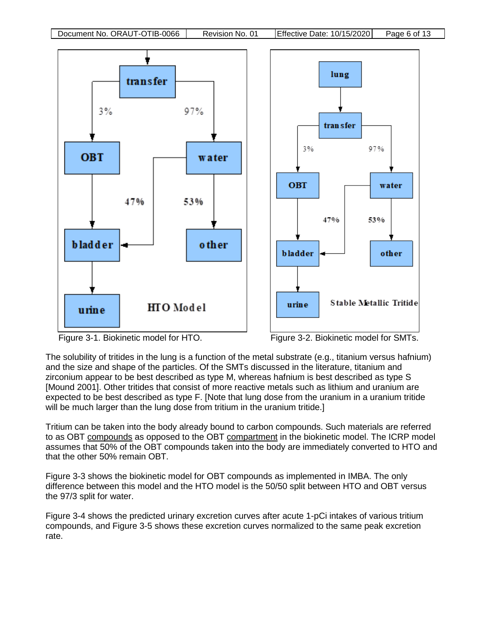

The solubility of tritides in the lung is a function of the metal substrate (e.g., titanium versus hafnium) and the size and shape of the particles. Of the SMTs discussed in the literature, titanium and zirconium appear to be best described as type M, whereas hafnium is best described as type S [Mound 2001]. Other tritides that consist of more reactive metals such as lithium and uranium are expected to be best described as type F. [Note that lung dose from the uranium in a uranium tritide will be much larger than the lung dose from tritium in the uranium tritide.]

Tritium can be taken into the body already bound to carbon compounds. Such materials are referred to as OBT compounds as opposed to the OBT compartment in the biokinetic model. The ICRP model assumes that 50% of the OBT compounds taken into the body are immediately converted to HTO and that the other 50% remain OBT.

Figure 3-3 shows the biokinetic model for OBT compounds as implemented in IMBA. The only difference between this model and the HTO model is the 50/50 split between HTO and OBT versus the 97/3 split for water.

Figure 3-4 shows the predicted urinary excretion curves after acute 1-pCi intakes of various tritium compounds, and Figure 3-5 shows these excretion curves normalized to the same peak excretion rate.

<span id="page-5-1"></span><span id="page-5-0"></span>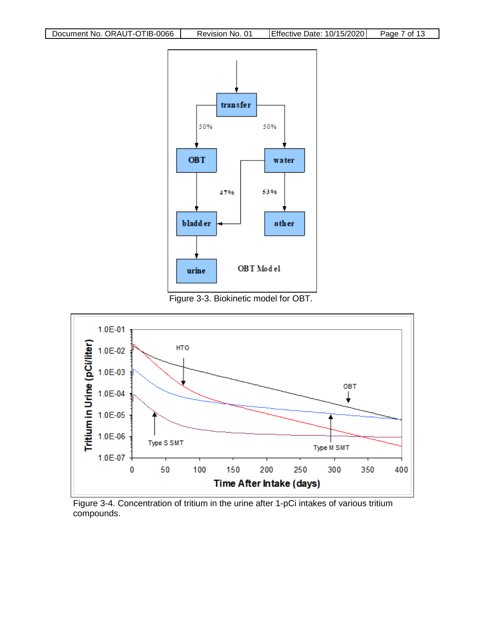

<span id="page-6-0"></span>Figure 3-3. Biokinetic model for OBT.



<span id="page-6-1"></span>Figure 3-4. Concentration of tritium in the urine after 1-pCi intakes of various tritium compounds.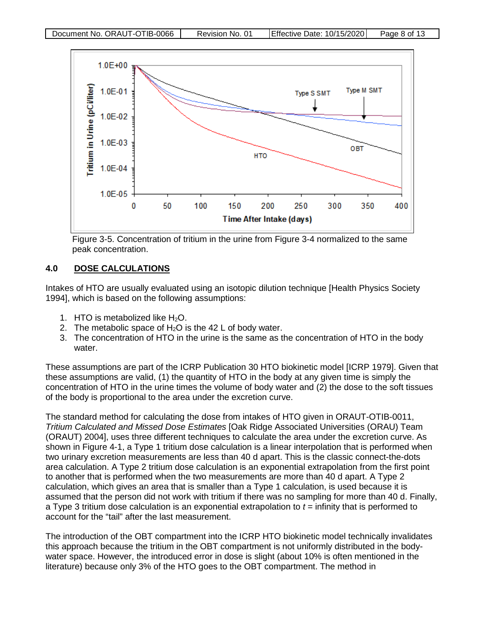

<span id="page-7-1"></span>Figure 3-5. Concentration of tritium in the urine from Figure 3-4 normalized to the same peak concentration.

# <span id="page-7-0"></span>**4.0 DOSE CALCULATIONS**

Intakes of HTO are usually evaluated using an isotopic dilution technique [Health Physics Society 1994], which is based on the following assumptions:

- 1. HTO is metabolized like  $H_2O$ .
- 2. The metabolic space of  $H_2O$  is the 42 L of body water.
- 3. The concentration of HTO in the urine is the same as the concentration of HTO in the body water.

These assumptions are part of the ICRP Publication 30 HTO biokinetic model [ICRP 1979]. Given that these assumptions are valid, (1) the quantity of HTO in the body at any given time is simply the concentration of HTO in the urine times the volume of body water and (2) the dose to the soft tissues of the body is proportional to the area under the excretion curve.

The standard method for calculating the dose from intakes of HTO given in ORAUT-OTIB-0011, *Tritium Calculated and Missed Dose Estimates* [Oak Ridge Associated Universities (ORAU) Team (ORAUT) 2004], uses three different techniques to calculate the area under the excretion curve. As shown in Figure 4-1, a Type 1 tritium dose calculation is a linear interpolation that is performed when two urinary excretion measurements are less than 40 d apart. This is the classic connect-the-dots area calculation. A Type 2 tritium dose calculation is an exponential extrapolation from the first point to another that is performed when the two measurements are more than 40 d apart. A Type 2 calculation, which gives an area that is smaller than a Type 1 calculation, is used because it is assumed that the person did not work with tritium if there was no sampling for more than 40 d. Finally, a Type 3 tritium dose calculation is an exponential extrapolation to *t* = infinity that is performed to account for the "tail" after the last measurement.

The introduction of the OBT compartment into the ICRP HTO biokinetic model technically invalidates this approach because the tritium in the OBT compartment is not uniformly distributed in the bodywater space. However, the introduced error in dose is slight (about 10% is often mentioned in the literature) because only 3% of the HTO goes to the OBT compartment. The method in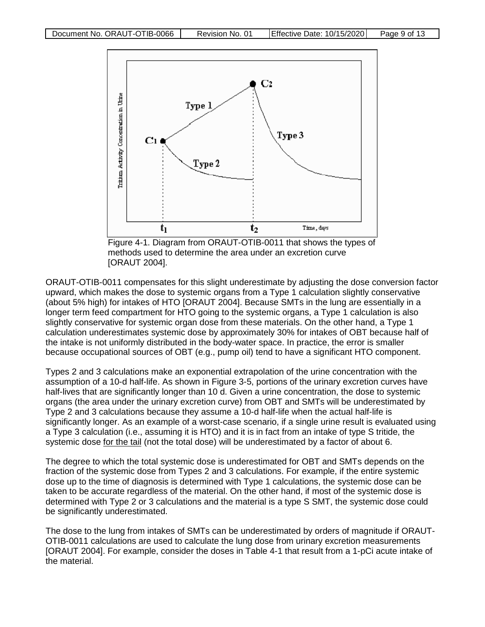

<span id="page-8-0"></span>Figure 4-1. Diagram from ORAUT-OTIB-0011 that shows the types of methods used to determine the area under an excretion curve [ORAUT 2004].

ORAUT-OTIB-0011 compensates for this slight underestimate by adjusting the dose conversion factor upward, which makes the dose to systemic organs from a Type 1 calculation slightly conservative (about 5% high) for intakes of HTO [ORAUT 2004]. Because SMTs in the lung are essentially in a longer term feed compartment for HTO going to the systemic organs, a Type 1 calculation is also slightly conservative for systemic organ dose from these materials. On the other hand, a Type 1 calculation underestimates systemic dose by approximately 30% for intakes of OBT because half of the intake is not uniformly distributed in the body-water space. In practice, the error is smaller because occupational sources of OBT (e.g., pump oil) tend to have a significant HTO component.

Types 2 and 3 calculations make an exponential extrapolation of the urine concentration with the assumption of a 10-d half-life. As shown in Figure 3-5, portions of the urinary excretion curves have half-lives that are significantly longer than 10 d. Given a urine concentration, the dose to systemic organs (the area under the urinary excretion curve) from OBT and SMTs will be underestimated by Type 2 and 3 calculations because they assume a 10-d half-life when the actual half-life is significantly longer. As an example of a worst-case scenario, if a single urine result is evaluated using a Type 3 calculation (i.e., assuming it is HTO) and it is in fact from an intake of type S tritide, the systemic dose for the tail (not the total dose) will be underestimated by a factor of about 6.

The degree to which the total systemic dose is underestimated for OBT and SMTs depends on the fraction of the systemic dose from Types 2 and 3 calculations. For example, if the entire systemic dose up to the time of diagnosis is determined with Type 1 calculations, the systemic dose can be taken to be accurate regardless of the material. On the other hand, if most of the systemic dose is determined with Type 2 or 3 calculations and the material is a type S SMT, the systemic dose could be significantly underestimated.

The dose to the lung from intakes of SMTs can be underestimated by orders of magnitude if ORAUT-OTIB-0011 calculations are used to calculate the lung dose from urinary excretion measurements [ORAUT 2004]. For example, consider the doses in Table 4-1 that result from a 1-pCi acute intake of the material.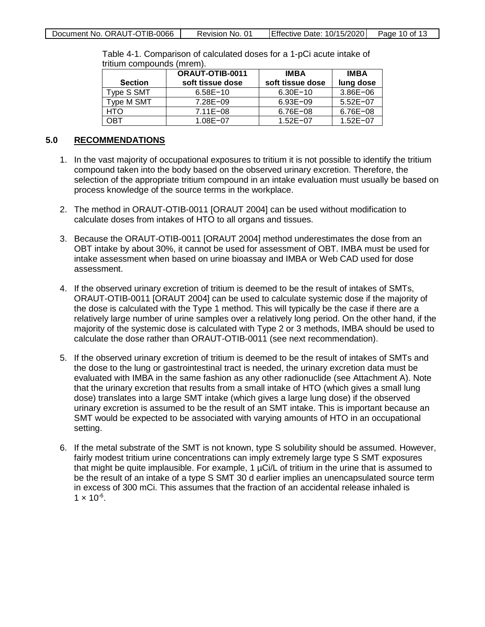|  | Document No. ORAUT-OTIB-0066 | Revision No. 01 | Effective Date: 10/15/2020 Page 10 of 13 |  |
|--|------------------------------|-----------------|------------------------------------------|--|
|--|------------------------------|-----------------|------------------------------------------|--|

| <b>Section</b> | <b>ORAUT-OTIB-0011</b><br>soft tissue dose | <b>IMBA</b><br>soft tissue dose | <b>IMBA</b><br>lung dose |
|----------------|--------------------------------------------|---------------------------------|--------------------------|
| Type S SMT     | $6.58E - 10$                               | $6.30E - 10$                    | $3.86E - 06$             |
| Type M SMT     | $7.28E - 09$                               | $6.93E - 09$                    | $5.52E - 07$             |
| HTO            | $7.11E - 08$                               | $6.76E - 08$                    | $6.76E - 08$             |
| OBT            | $1.08E - 07$                               | $1.52E - 07$                    | $1.52E - 07$             |

<span id="page-9-1"></span>Table 4-1. Comparison of calculated doses for a 1-pCi acute intake of tritium compounds (mrem).

## <span id="page-9-0"></span>**5.0 RECOMMENDATIONS**

- 1. In the vast majority of occupational exposures to tritium it is not possible to identify the tritium compound taken into the body based on the observed urinary excretion. Therefore, the selection of the appropriate tritium compound in an intake evaluation must usually be based on process knowledge of the source terms in the workplace.
- 2. The method in ORAUT-OTIB-0011 [ORAUT 2004] can be used without modification to calculate doses from intakes of HTO to all organs and tissues.
- 3. Because the ORAUT-OTIB-0011 [ORAUT 2004] method underestimates the dose from an OBT intake by about 30%, it cannot be used for assessment of OBT. IMBA must be used for intake assessment when based on urine bioassay and IMBA or Web CAD used for dose assessment.
- 4. If the observed urinary excretion of tritium is deemed to be the result of intakes of SMTs, ORAUT-OTIB-0011 [ORAUT 2004] can be used to calculate systemic dose if the majority of the dose is calculated with the Type 1 method. This will typically be the case if there are a relatively large number of urine samples over a relatively long period. On the other hand, if the majority of the systemic dose is calculated with Type 2 or 3 methods, IMBA should be used to calculate the dose rather than ORAUT-OTIB-0011 (see next recommendation).
- 5. If the observed urinary excretion of tritium is deemed to be the result of intakes of SMTs and the dose to the lung or gastrointestinal tract is needed, the urinary excretion data must be evaluated with IMBA in the same fashion as any other radionuclide (see Attachment A). Note that the urinary excretion that results from a small intake of HTO (which gives a small lung dose) translates into a large SMT intake (which gives a large lung dose) if the observed urinary excretion is assumed to be the result of an SMT intake. This is important because an SMT would be expected to be associated with varying amounts of HTO in an occupational setting.
- 6. If the metal substrate of the SMT is not known, type S solubility should be assumed. However, fairly modest tritium urine concentrations can imply extremely large type S SMT exposures that might be quite implausible. For example, 1 uCi/L of tritium in the urine that is assumed to be the result of an intake of a type S SMT 30 d earlier implies an unencapsulated source term in excess of 300 mCi. This assumes that the fraction of an accidental release inhaled is  $1 \times 10^{-6}$ .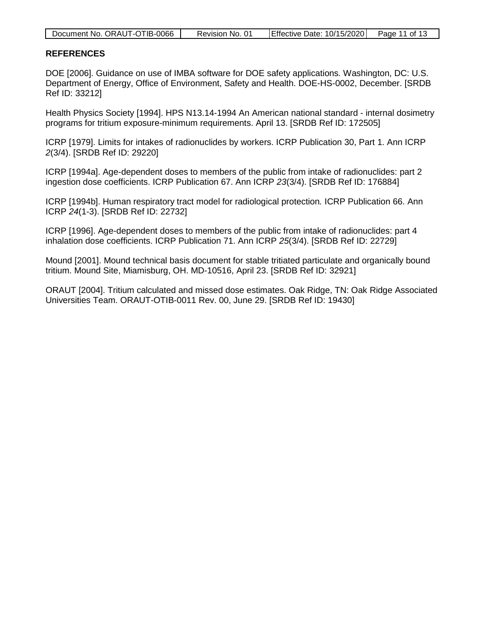| Document No. ORAUT-OTIB-0066 | Revision No. 01 | Effective Date: 10/15/2020 Page 11 of 13 |  |
|------------------------------|-----------------|------------------------------------------|--|

#### <span id="page-10-0"></span>**REFERENCES**

DOE [2006]. Guidance on use of IMBA software for DOE safety applications*.* Washington, DC: U.S. Department of Energy, Office of Environment, Safety and Health. DOE-HS-0002, December. [SRDB Ref ID: 33212]

Health Physics Society [1994]. HPS N13.14-1994 An American national standard - internal dosimetry programs for tritium exposure-minimum requirements. April 13. [SRDB Ref ID: 172505]

ICRP [1979]. Limits for intakes of radionuclides by workers. ICRP Publication 30, Part 1. Ann ICRP *2*(3/4). [SRDB Ref ID: 29220]

ICRP [1994a]. Age-dependent doses to members of the public from intake of radionuclides: part 2 ingestion dose coefficients. ICRP Publication 67. Ann ICRP *23*(3/4). [SRDB Ref ID: 176884]

ICRP [1994b]. Human respiratory tract model for radiological protection*.* ICRP Publication 66. Ann ICRP *24*(1-3). [SRDB Ref ID: 22732]

ICRP [1996]. Age-dependent doses to members of the public from intake of radionuclides: part 4 inhalation dose coefficients. ICRP Publication 71. Ann ICRP *25*(3/4). [SRDB Ref ID: 22729]

Mound [2001]. Mound technical basis document for stable tritiated particulate and organically bound tritium. Mound Site, Miamisburg, OH. MD-10516, April 23. [SRDB Ref ID: 32921]

ORAUT [2004]. Tritium calculated and missed dose estimates. Oak Ridge, TN: Oak Ridge Associated Universities Team. ORAUT-OTIB-0011 Rev. 00, June 29. [SRDB Ref ID: 19430]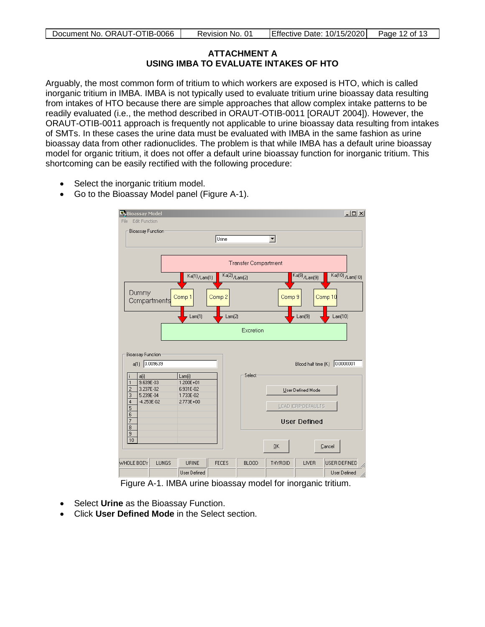## **ATTACHMENT A USING IMBA TO EVALUATE INTAKES OF HTO**

<span id="page-11-0"></span>Arguably, the most common form of tritium to which workers are exposed is HTO, which is called inorganic tritium in IMBA. IMBA is not typically used to evaluate tritium urine bioassay data resulting from intakes of HTO because there are simple approaches that allow complex intake patterns to be readily evaluated (i.e., the method described in ORAUT-OTIB-0011 [ORAUT 2004]). However, the ORAUT-OTIB-0011 approach is frequently not applicable to urine bioassay data resulting from intakes of SMTs. In these cases the urine data must be evaluated with IMBA in the same fashion as urine bioassay data from other radionuclides. The problem is that while IMBA has a default urine bioassay model for organic tritium, it does not offer a default urine bioassay function for inorganic tritium. This shortcoming can be easily rectified with the following procedure:

- Select the inorganic tritium model.
- Go to the Bioassay Model panel (Figure A-1).

| <b>R</b> , Bioassay Model         |                             |                            |                                   |              |         |                                   | $-12X$                              |
|-----------------------------------|-----------------------------|----------------------------|-----------------------------------|--------------|---------|-----------------------------------|-------------------------------------|
| File                              | <b>Edit Function</b>        |                            |                                   |              |         |                                   |                                     |
|                                   | <b>Bioassay Function</b>    |                            |                                   |              |         |                                   |                                     |
|                                   |                             |                            | Urine                             |              | ▾       |                                   |                                     |
|                                   |                             |                            |                                   |              |         |                                   |                                     |
|                                   | <b>Transfer Compartment</b> |                            |                                   |              |         |                                   |                                     |
|                                   |                             | $\overline{Ka(1)}$ /Lam(1) | $\overline{\text{Ka(2)}}$ /Lam(2) |              |         | $\overline{\text{Ka(9)}}$ /Lam(9) | $\overline{\text{Ka(10)}}$ /Lam(10) |
| Dummy                             | Compartments                | Comp 1                     | Comp 2                            |              | Comp 9  |                                   | Comp 10                             |
|                                   |                             | Lam(1)                     | Lam(2)                            |              |         | Lam(9)                            | Lam[10]                             |
|                                   | Excretion                   |                            |                                   |              |         |                                   |                                     |
| <b>Bioassay Function:</b><br>a(1) | 0.009639                    |                            |                                   |              |         | Blood half time (K)               | 0.0000001                           |
| a(i)                              |                             | Lam(i)                     |                                   | Select       |         |                                   |                                     |
| 1<br>$\overline{c}$               | 9.639E-03<br>3.237E-02      | $1.200E + 01$<br>6.931E-02 |                                   |              |         | User Defined Mode                 |                                     |
| 3                                 | 5.239E-04                   | 1.733E-02                  |                                   |              |         |                                   |                                     |
| $\overline{4}$<br>5               | $-4.253E - 02$              | 2.773E+00                  |                                   |              |         | LOAD ICRP DEFAULTS                |                                     |
| 6                                 |                             |                            |                                   |              |         |                                   |                                     |
| 7<br>8                            |                             |                            |                                   |              |         | <b>User Defined</b>               |                                     |
| 9                                 |                             |                            |                                   |              |         |                                   |                                     |
| 10                                |                             |                            |                                   |              | QK      |                                   | Cancel                              |
| WHOLE BODY                        | LUNGS                       | <b>URINE</b>               | <b>FECES</b>                      | <b>BLOOD</b> | THYROID | LIVER                             | USER DEFINED<br>h,                  |
|                                   |                             | User Defined               |                                   |              |         |                                   | User Defined<br>h,                  |
|                                   |                             |                            | $\cdot$ $\cdot$                   |              |         |                                   | $-1$                                |

<span id="page-11-1"></span>Figure A-1. IMBA urine bioassay model for inorganic tritium.

- Select **Urine** as the Bioassay Function.
- Click **User Defined Mode** in the Select section.